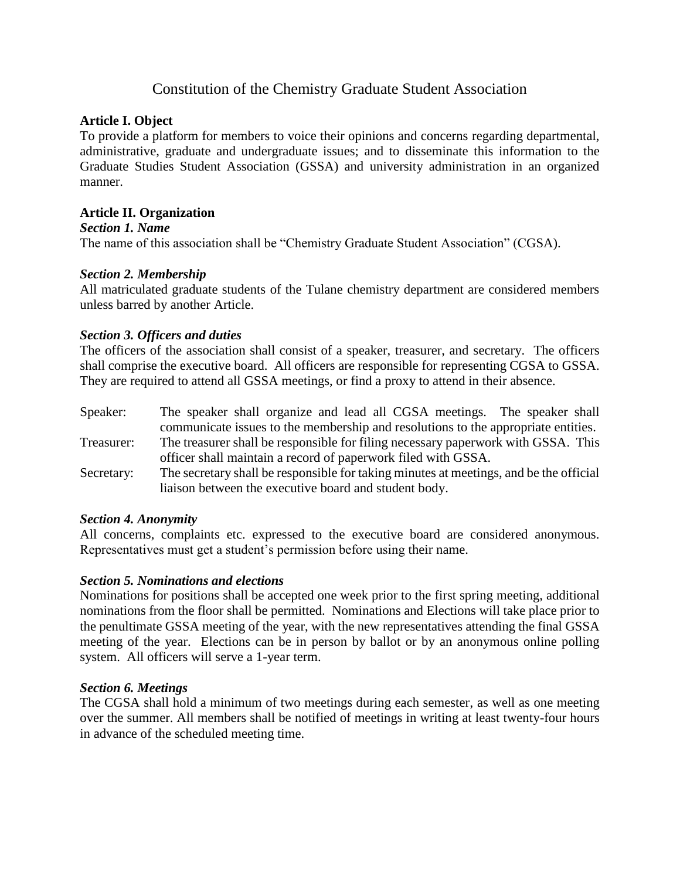# Constitution of the Chemistry Graduate Student Association

# **Article I. Object**

To provide a platform for members to voice their opinions and concerns regarding departmental, administrative, graduate and undergraduate issues; and to disseminate this information to the Graduate Studies Student Association (GSSA) and university administration in an organized manner.

# **Article II. Organization**

#### *Section 1. Name*

The name of this association shall be "Chemistry Graduate Student Association" (CGSA).

## *Section 2. Membership*

All matriculated graduate students of the Tulane chemistry department are considered members unless barred by another Article.

# *Section 3. Officers and duties*

The officers of the association shall consist of a speaker, treasurer, and secretary. The officers shall comprise the executive board. All officers are responsible for representing CGSA to GSSA. They are required to attend all GSSA meetings, or find a proxy to attend in their absence.

| Speaker:   | The speaker shall organize and lead all CGSA meetings. The speaker shall               |
|------------|----------------------------------------------------------------------------------------|
|            | communicate issues to the membership and resolutions to the appropriate entities.      |
| Treasurer: | The treasurer shall be responsible for filing necessary paperwork with GSSA. This      |
|            | officer shall maintain a record of paperwork filed with GSSA.                          |
| Secretary: | The secretary shall be responsible for taking minutes at meetings, and be the official |
|            | liaison between the executive board and student body.                                  |

## *Section 4. Anonymity*

All concerns, complaints etc. expressed to the executive board are considered anonymous. Representatives must get a student's permission before using their name.

## *Section 5. Nominations and elections*

Nominations for positions shall be accepted one week prior to the first spring meeting, additional nominations from the floor shall be permitted. Nominations and Elections will take place prior to the penultimate GSSA meeting of the year, with the new representatives attending the final GSSA meeting of the year. Elections can be in person by ballot or by an anonymous online polling system. All officers will serve a 1-year term.

## *Section 6. Meetings*

The CGSA shall hold a minimum of two meetings during each semester, as well as one meeting over the summer. All members shall be notified of meetings in writing at least twenty-four hours in advance of the scheduled meeting time.